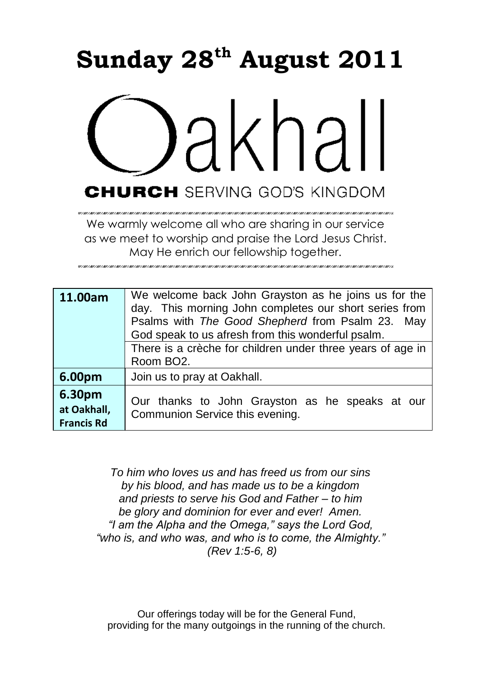# **Sunday 28 th August 2011**



We warmly welcome all who are sharing in our service as we meet to worship and praise the Lord Jesus Christ. May He enrich our fellowship together.

| 11.00am                                    | We welcome back John Grayston as he joins us for the<br>day. This morning John completes our short series from<br>Psalms with The Good Shepherd from Psalm 23. May<br>God speak to us afresh from this wonderful psalm.<br>There is a crèche for children under three years of age in<br>Room BO <sub>2</sub> . |
|--------------------------------------------|-----------------------------------------------------------------------------------------------------------------------------------------------------------------------------------------------------------------------------------------------------------------------------------------------------------------|
| 6.00pm                                     | Join us to pray at Oakhall.                                                                                                                                                                                                                                                                                     |
| 6.30pm<br>at Oakhall,<br><b>Francis Rd</b> | Our thanks to John Grayston as he speaks at our<br>Communion Service this evening.                                                                                                                                                                                                                              |

*To him who loves us and has freed us from our sins by his blood, and has made us to be a kingdom and priests to serve his God and Father – to him be glory and dominion for ever and ever! Amen. "I am the Alpha and the Omega," says the Lord God, "who is, and who was, and who is to come, the Almighty." (Rev 1:5-6, 8)*

Our offerings today will be for the General Fund, providing for the many outgoings in the running of the church.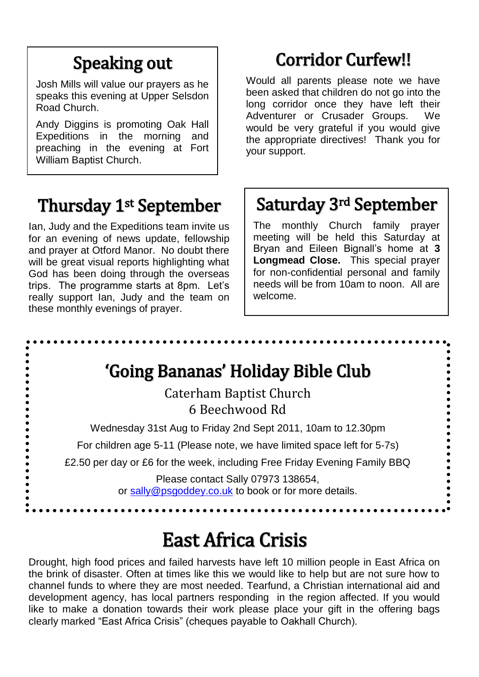## Speaking out

Josh Mills will value our prayers as he speaks this evening at Upper Selsdon Road Church.

Andy Diggins is promoting Oak Hall Expeditions in the morning and preaching in the evening at Fort William Baptist Church.

#### Thursday 1st September

Ian, Judy and the Expeditions team invite us for an evening of news update, fellowship and prayer at Otford Manor. No doubt there will be great visual reports highlighting what God has been doing through the overseas trips. The programme starts at 8pm. Let"s really support Ian, Judy and the team on these monthly evenings of prayer.

# Corridor Curfew!!

Would all parents please note we have been asked that children do not go into the long corridor once they have left their Adventurer or Crusader Groups. We would be very grateful if you would give the appropriate directives! Thank you for your support.

## Saturday 3rd September

The monthly Church family prayer meeting will be held this Saturday at Bryan and Eileen Bignall"s home at **3 Longmead Close.** This special prayer for non-confidential personal and family needs will be from 10am to noon. All are welcome.



# East Africa Crisis

Drought, high food prices and failed harvests have left 10 million people in East Africa on the brink of disaster. Often at times like this we would like to help but are not sure how to channel funds to where they are most needed. Tearfund, a Christian international aid and development agency, has local partners responding in the region affected. If you would like to make a donation towards their work please place your gift in the offering bags clearly marked "East Africa Crisis" (cheques payable to Oakhall Church).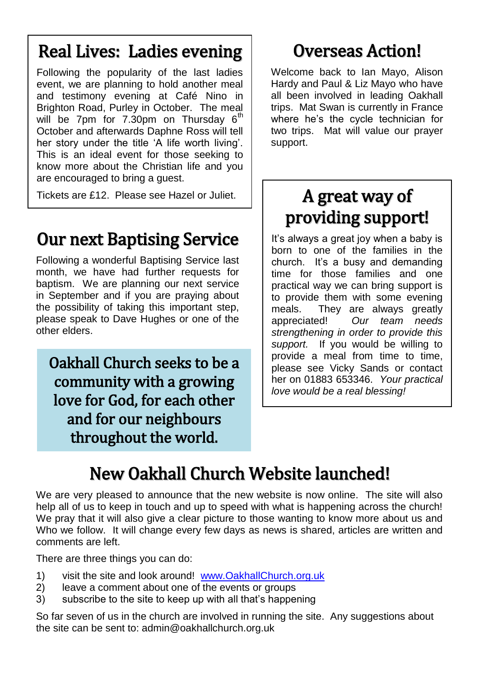#### Real Lives: Ladies evening

Following the popularity of the last ladies event, we are planning to hold another meal and testimony evening at Café Nino in Brighton Road, Purley in October. The meal will be 7pm for 7.30pm on Thursday  $6<sup>th</sup>$ October and afterwards Daphne Ross will tell her story under the title "A life worth living". This is an ideal event for those seeking to know more about the Christian life and you are encouraged to bring a guest.

Tickets are £12. Please see Hazel or Juliet.

### Our next Baptising Service

Following a wonderful Baptising Service last month, we have had further requests for baptism. We are planning our next service in September and if you are praying about the possibility of taking this important step, please speak to Dave Hughes or one of the other elders.

Oakhall Church seeks to be a community with a growing love for God, for each other and for our neighbours throughout the world.

#### Overseas Action!

Welcome back to Ian Mayo, Alison Hardy and Paul & Liz Mayo who have all been involved in leading Oakhall trips. Mat Swan is currently in France where he"s the cycle technician for two trips. Mat will value our prayer support.

#### A great way of providing support!

It's always a great joy when a baby is born to one of the families in the church. It"s a busy and demanding time for those families and one practical way we can bring support is to provide them with some evening meals. They are always greatly appreciated! *Our team needs strengthening in order to provide this support.* If you would be willing to provide a meal from time to time, please see Vicky Sands or contact her on 01883 653346. *Your practical love would be a real blessing!*

# New Oakhall Church Website launched!

We are very pleased to announce that the new website is now online. The site will also help all of us to keep in touch and up to speed with what is happening across the church! We pray that it will also give a clear picture to those wanting to know more about us and Who we follow. It will change every few days as news is shared, articles are written and comments are left.

There are three things you can do:

Ĩ

- 1) visit the site and look around! [www.OakhallChurch.org.uk](http://www.oakhallchurch.org.uk/)
- 2) leave a comment about one of the events or groups
- 3) subscribe to the site to keep up with all that"s happening

So far seven of us in the church are involved in running the site. Any suggestions about the site can be sent to: admin@oakhallchurch.org.uk